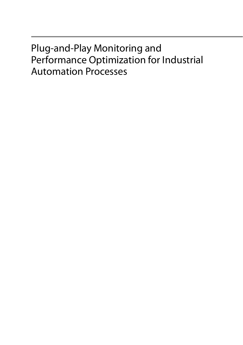## Plug-and-Play Monitoring and Performance Optimization for Industrial Automation Processes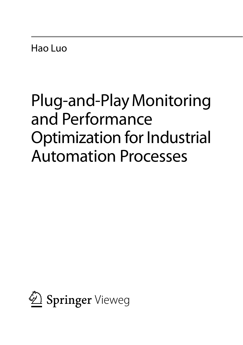Hao Luo

# Plug-and-Play Monitoring and Performance Optimization for Industrial Automation Processes

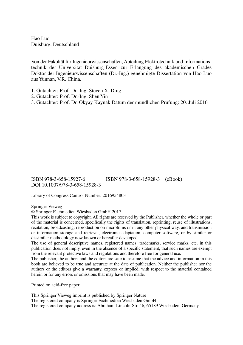Hao Luo Duisburg, Deutschland

Von der Fakultät für Ingenieurwissenschaften, Abteilung Elektrotechnik und Informations technik der Universität Duisburg-Essen zur Erlangung des akademischen Grades Doktor der Ingenieurwissenschaften (Dr.-Ing.) genehmigte Dissertation von Hao Luo aus Yunnan, V.R. China.

- 1. Gutachter: Prof. Dr.-Ing. Steven X. Ding
- 2. Gutachter: Prof. Dr.-Ing. Shen Yin
- 3. Gutachter: Prof. Dr. Okyay Kaynak Datum der mündlichen Prüfung: 20. Juli 2016

ISBN 978-3-658-15927-6 ISBN 978-3-658-15928-3 (eBook) DOI 10.1007/978-3-658-15928-3

Library of Congress Control Number: 2016954803

Springer Vieweg

© Springer Fachmedien Wiesbaden GmbH 2017

This work is subject to copyright. All rights are reserved by the Publisher, whether the whole or part of the material is concerned, specifically the rights of translation, reprinting, reuse of illustrations, recitation, broadcasting, reproduction on microfilms or in any other physical way, and transmission or information storage and retrieval, electronic adaptation, computer software, or by similar or dissimilar methodology now known or hereafter developed.

The use of general descriptive names, registered names, trademarks, service marks, etc. in this publication does not imply, even in the absence of a specific statement, that such names are exempt from the relevant protective laws and regulations and therefore free for general use.

The publisher, the authors and the editors are safe to assume that the advice and information in this book are believed to be true and accurate at the date of publication. Neither the publisher nor the authors or the editors give a warranty, express or implied, with respect to the material contained herein or for any errors or omissions that may have been made.

Printed on acid-free paper

This Springer Vieweg imprint is published by Springer Nature The registered company is Springer Fachmedien Wiesbaden GmbH The registered company address is: Abraham-Lincoln-Str. 46, 65189 Wiesbaden, Germany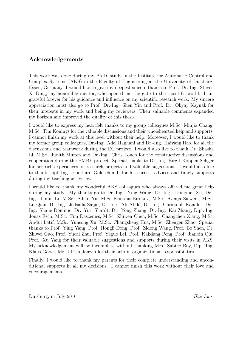### Acknowledgements

This work was done during my Ph.D. study in the Institute for Automatic Control and Complex Systems (AKS) in the Faculty of Engineering at the University of Duisburg-Essen, Germany. I would like to give my deepest sincere thanks to Prof. Dr.-Ing. Steven X. Ding, my honorable mentor, who opened me the gate to the scientific world. I am grateful forever for his guidance and influence on my scientific research work. My sincere appreciation must also go to Prof. Dr.-Ing. Shen Yin and Prof. Dr. Okyay Kaynak for their interests in my work and being my reviewers. Their valuable comments expanded my horizon and improved the quality of this thesis.

I would like to express my heartfelt thanks to my group colleagues M.Sc. Minjia Chang, M.Sc. Tim Könings for the valuable discussions and their wholehearted help and supports, I cannot finish my work at this level without their help. Moreover, I would like to thank my former group colleagues, Dr.-Ing. Adel Haghani and Dr.-Ing. Haiyang Hao, for all the discussions and teamwork during the EC project. I would also like to thank Dr. Shasha Li, M.Sc. Judith Minten and Dr.-Ing. Chris Louen for the constructive discussions and cooperation during the BMBF project. Special thanks to Dr.-Ing. Birgit Köppen-Seliger for her rich experiences on research projects and valuable suggestions. I would also like to thank Dipl.-Ing. Eberhard Goldschmidt for his earnest advices and timely supports during my teaching activities.

I would like to thank my wonderful AKS colleagues who always offered me great help during my study. My thanks go to Dr.-Ing. Ying Wang, Dr.-Ing. Dongmei Xu, Dr.- Ing. Linlin Li, M.Sc. Sihan Yu, M.Sc Kristina Bir¨ukov, M.Sc. Svenja Siewers, M.Sc. Lu Qian, Dr.-Ing. Jedsada Saijai, Dr.-Ing. Ali Abdo, Dr.-Ing. Christoph Kandler, Dr.- Ing. Shane Dominic, Dr. Yuri Shardt, Dr. Yong Zhang, Dr.-Ing. Kai Zhang, Dipl.-Ing. Jonas Esch, M.Sc. Tim Daszenies, M.Sc. Zhiwen Chen, M.Sc. Changchen Xiang, M.Sc. Abdul Latif, M.Sc. Yunsong Xu, M.Sc. Changsheng Hua, M.Sc. Zhengen Zhao. Special thanks to Prof. Ying Yang, Prof. Hongli Dong, Prof. Zidong Wang, Prof. Bo Shen, Dr. Zhiwei Gao, Prof. Yucai Zhu, Prof. Yaguo Lei, Prof. Kaixiang Peng, Prof. Jianbin Qiu, Prof. Xu Yang for their valuable suggestions and supports during their visits in AKS. My acknowledgement will be incomplete without thanking Mrs. Sabine Bay, Dipl.-Ing. Klaus Göbel, Mr. Ulrich Janzen for their help in organizational responsibilities.

Finally, I would like to thank my parents for their complete understanding and unconditional supports in all my decisions. I cannot finish this work without their love and encouragements.

Duisburg, in July 2016 Hao Luo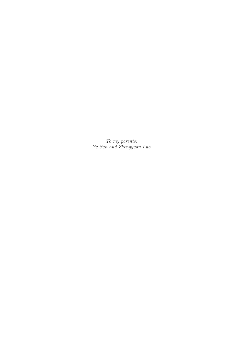To my parents: Yu Sun and Zhengyuan Luo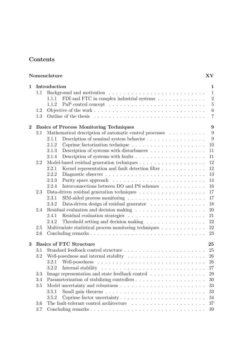### Contents

| Nomenclature<br><b>XV</b> |                   |                                                                                                                                                                                                                                                                                        |                                                                                              |
|---------------------------|-------------------|----------------------------------------------------------------------------------------------------------------------------------------------------------------------------------------------------------------------------------------------------------------------------------------|----------------------------------------------------------------------------------------------|
| 1.                        | 1.1<br>1.2<br>1.3 | Introduction<br>FDI and FTC in complex industrial systems<br>1.1.1<br>1.1.2                                                                                                                                                                                                            | 1.<br>$\mathbf{1}$<br>$\overline{2}$<br>$\overline{5}$<br>$\boldsymbol{6}$<br>$\overline{7}$ |
| $\mathbf 2$               | 2.1               | <b>Basics of Process Monitoring Techniques</b><br>Mathematical description of automatic control processes $\ldots \ldots \ldots$<br>Description of nominal system behavior<br>2.1.1<br>2.1.2<br>2.1.3<br>Description of systems with disturbances $\ldots \ldots \ldots \ldots \ldots$ | 9<br>9<br>9<br>10<br>11                                                                      |
|                           | 2.2               | 2.1.4<br>2.2.1<br>2.2.2<br>2.2.3                                                                                                                                                                                                                                                       | 11<br>12<br>12<br>13<br>14                                                                   |
|                           | 2.3               | Interconnections between DO and PS schemes<br>2.2.4<br>2.3.1<br>2.3.2<br>Data-driven design of residual generator $\ldots \ldots \ldots \ldots \ldots$                                                                                                                                 | 16<br>17<br>17<br>18                                                                         |
|                           | 2.4<br>2.5        | 2.4.1<br>2.4.2<br>Threshold setting and decision making<br>Multivariate statistical process monitoring techniques                                                                                                                                                                      | 20<br>21<br>22<br>22                                                                         |
| 3                         | 2.6               | <b>Basics of FTC Structure</b>                                                                                                                                                                                                                                                         | 23<br>25                                                                                     |
|                           | 3.1<br>3.2        | Well-posedness and internal stability $\ldots \ldots \ldots \ldots \ldots \ldots \ldots \ldots$<br>3.2.1<br>3.2.2                                                                                                                                                                      | 25<br>26<br>26<br>27                                                                         |
|                           | 3.3<br>3.4<br>3.5 | Image representation and state feedback control<br>3.5.1<br>3.5.2<br>Coprime factor uncertainty                                                                                                                                                                                        | 29<br>30<br>33<br>33<br>34                                                                   |
|                           | 3.6<br>3.7        | The fault-tolerant control architecture $\ldots$ , $\ldots$ , $\ldots$ , $\ldots$ , $\ldots$ , $\ldots$                                                                                                                                                                                | 37<br>39                                                                                     |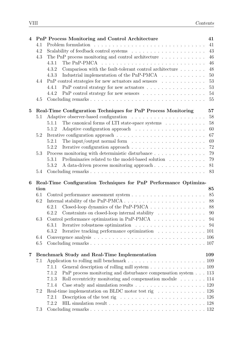| $\overline{\mathbf{4}}$ |      | PnP Process Monitoring and Control Architecture                                                    | 41     |
|-------------------------|------|----------------------------------------------------------------------------------------------------|--------|
|                         | 4.1  |                                                                                                    | 41     |
|                         | 4.2  |                                                                                                    | $43\,$ |
|                         | 4.3  | The PnP process monitoring and control architecture $\ldots \ldots \ldots \ldots$                  | 46     |
|                         |      | 4.3.1                                                                                              | 46     |
|                         |      | 4.3.2<br>Comparison with the fault-tolerant control architecture $\dots \dots$                     | 48     |
|                         |      | 4.3.3<br>Industrial implementation of the PnP-PMCA                                                 | 50     |
|                         | 4.4  | $PnP$ control strategies for new actuators and sensors $\ldots \ldots \ldots \ldots$               | 53     |
|                         |      | 4.4.1                                                                                              | 53     |
|                         |      | 4.4.2                                                                                              | 54     |
|                         | 4.5  |                                                                                                    | 55     |
| 5                       |      | Real-Time Configuration Techniques for PnP Process Monitoring                                      | 57     |
|                         | 5.1  |                                                                                                    | 58     |
|                         |      | The canonical forms of LTI state-space systems $\ldots \ldots \ldots \ldots$<br>5.1.1              | 58     |
|                         |      | 5.1.2<br>Adaptive configuration approach $\ldots \ldots \ldots \ldots \ldots \ldots$               | 60     |
|                         | 5.2  |                                                                                                    | 67     |
|                         |      | The input/output normal form $\dots \dots \dots \dots \dots \dots \dots \dots$<br>5.2.1            | 69     |
|                         |      | 5.2.2<br>Iterative configuration approach $\ldots \ldots \ldots \ldots \ldots \ldots \ldots$       | 72     |
|                         | 5.3  | Process monitoring with deterministic disturbance                                                  | 79     |
|                         |      | 5.3.1<br>Preliminaries related to the model-based solution $\ldots \ldots \ldots$                  | 79     |
|                         |      | 5.3.2<br>A data-driven process monitoring approach                                                 | 81     |
|                         | 5.4  |                                                                                                    | 83     |
| 6                       |      | Real-Time Configuration Techniques for PnP Performance Optimiza-                                   |        |
|                         | tion |                                                                                                    | 85     |
|                         | 6.1  |                                                                                                    | 85     |
|                         | 6.2  | Internal stability of the PnP-PMCA $\ldots \ldots \ldots \ldots \ldots \ldots \ldots \ldots$       | 88     |
|                         |      | Closed-loop dynamics of the PnP-PMCA<br>6.2.1                                                      | 88     |
|                         |      | 6.2.2<br>Constraints on closed-loop internal stability $\ldots \ldots \ldots \ldots$               | 90     |
|                         | 6.3  | Control performance optimization in PnP-PMCA                                                       | 94     |
|                         |      | Iterative robustness optimization $\ldots \ldots \ldots \ldots \ldots \ldots$<br>6.3.1             | 94     |
|                         |      | 6.3.2<br>Iterative tracking performance optimization 101                                           |        |
|                         | 6.4  |                                                                                                    |        |
|                         | 6.5  |                                                                                                    |        |
| 7                       |      | Benchmark Study and Real-Time Implementation                                                       | 109    |
|                         | 7.1  |                                                                                                    |        |
|                         |      | General description of rolling mill system 109<br>7.1.1                                            |        |
|                         |      | $PnP$ process monitoring and disturbance compensation system $\ldots$ 113<br>7.1.2                 |        |
|                         |      | Roll eccentricity monitoring and compensation module 114<br>7.1.3                                  |        |
|                         |      | Case study and simulation results $\ldots \ldots \ldots \ldots \ldots \ldots \ldots 120$<br>7.1.4  |        |
|                         | 7.2  | Real-time implementation on BLDC motor test rig 126                                                |        |
|                         |      | Description of the test rig $\ldots \ldots \ldots \ldots \ldots \ldots \ldots \ldots 126$<br>7.2.1 |        |
|                         |      | 7.2.2                                                                                              |        |
|                         | 7.3  |                                                                                                    |        |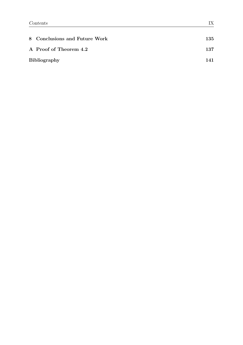| 8 Conclusions and Future Work | 135 |
|-------------------------------|-----|
| A Proof of Theorem 4.2        | 137 |
| Bibliography                  | 141 |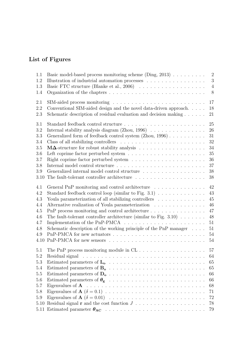### List of Figures

| 1.1<br>1.2<br>1.3 | Basic model-based process monitoring scheme (Ding, $2013$ )<br>Illustration of industrial automation processes                                                                                                                 | $\sqrt{2}$<br>3<br>$\overline{4}$ |
|-------------------|--------------------------------------------------------------------------------------------------------------------------------------------------------------------------------------------------------------------------------|-----------------------------------|
| 1.4               |                                                                                                                                                                                                                                | 8                                 |
| 2.1               |                                                                                                                                                                                                                                | 17                                |
| 2.2<br>2.3        | Conventional SIM-aided design and the novel data-driven approach<br>Schematic description of residual evaluation and decision making                                                                                           | 18<br>21                          |
| 3.1               |                                                                                                                                                                                                                                | 25                                |
| 3.2               | Internal stability analysis diagram (Zhou, $1996$ )                                                                                                                                                                            | 26                                |
| 3.3               | Generalized form of feedback control system (Zhou, 1996)                                                                                                                                                                       | 31                                |
| 3.4<br>3.5        |                                                                                                                                                                                                                                | 32<br>34                          |
| 3.6               | Left coprime factor perturbed system $\ldots \ldots \ldots \ldots \ldots \ldots \ldots \ldots$                                                                                                                                 | $35\,$                            |
| 3.7               | Right coprime factor perturbed system $\ldots \ldots \ldots \ldots \ldots \ldots \ldots$                                                                                                                                       | 36                                |
| 3.8               | Internal model control structure $\dots\dots\dots\dots\dots\dots\dots\dots\dots\dots\dots$                                                                                                                                     | 37                                |
| 3.9               | Generalized internal model control structure                                                                                                                                                                                   | 38                                |
| 3.10              | The fault-tolerant controller architecture $\;\ldots\; \ldots\; \ldots\; \ldots\; \ldots\; \ldots\; \ldots\; \ldots\;$                                                                                                         | 38                                |
|                   |                                                                                                                                                                                                                                |                                   |
| 4.1               | General PnP monitoring and control architecture $\ldots \ldots \ldots \ldots \ldots$                                                                                                                                           | 42                                |
| 4.2               | Standard feedback control loop (similar to Fig. 3.1) $\ldots \ldots \ldots \ldots$                                                                                                                                             | 43                                |
| 4.3               | Youla parameterization of all stabilizing controllers                                                                                                                                                                          | 45                                |
| 4.4               | Alternative realization of Youla parameterization                                                                                                                                                                              | 46                                |
| 4.5               |                                                                                                                                                                                                                                | 47                                |
| 4.6               | The fault-tolerant controller architecture (similar to Fig. $3.10$ )                                                                                                                                                           | 48                                |
| 4.7               |                                                                                                                                                                                                                                | 51                                |
| 4.8               | Schematic description of the working principle of the PnP manager                                                                                                                                                              | 51                                |
| 4.9               |                                                                                                                                                                                                                                | 54                                |
| 4.10              |                                                                                                                                                                                                                                | 54                                |
| 5.1               |                                                                                                                                                                                                                                | 57                                |
| 5.2               | Residual signal resources in the contract of the contract of the contract of the contract of the contract of the contract of the contract of the contract of the contract of the contract of the contract of the contract of t | 64                                |
| 5.3               |                                                                                                                                                                                                                                | 65                                |
| 5.4               |                                                                                                                                                                                                                                | 65                                |
| 5.5               |                                                                                                                                                                                                                                | 66                                |
| 5.6               |                                                                                                                                                                                                                                | 66                                |
| 5.7               |                                                                                                                                                                                                                                | 68                                |
| 5.8               |                                                                                                                                                                                                                                | 71                                |
| 5.9               |                                                                                                                                                                                                                                | 72                                |
| 5.10              | Residual signal $\bf{r}$ and the cost function $J \ldots \ldots \ldots \ldots \ldots \ldots$                                                                                                                                   | 78                                |
| 5.11              |                                                                                                                                                                                                                                | 79                                |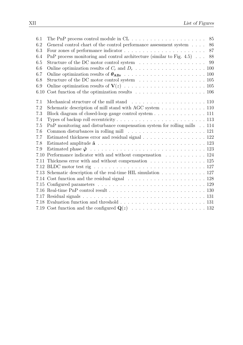| 6.1  | The PnP process control module in $CL \ldots \ldots \ldots \ldots \ldots \ldots$<br>85                       |
|------|--------------------------------------------------------------------------------------------------------------|
| 6.2  | General control chart of the control performance assessment system<br>$\ldots \ldots$<br>86                  |
| 6.3  | 87                                                                                                           |
| 6.4  | PnP process monitoring and control architecture (similar to Fig. $4.5$ )<br>88                               |
| 6.5  | 99                                                                                                           |
| 6.6  |                                                                                                              |
| 6.7  |                                                                                                              |
| 6.8  | Structure of the DC motor control system $\ldots \ldots \ldots \ldots \ldots \ldots \ldots 105$              |
| 6.9  |                                                                                                              |
| 6.10 | Cost function of the optimization results $\ldots \ldots \ldots \ldots \ldots \ldots \ldots 106$             |
| 7.1  | Mechanical structure of the mill stand $\ldots$ , $\ldots$ , $\ldots$ , $\ldots$ , $\ldots$ , $\ldots$ , 110 |
| 7.2  | Schematic description of mill stand with AGC system 110                                                      |
| 7.3  | Block diagram of closed-loop gauge control system 111                                                        |
| 7.4  |                                                                                                              |
| 7.5  | PnP monitoring and disturbance compensation system for rolling mills 114                                     |
| 7.6  |                                                                                                              |
| 7.7  | Estimated thickness error and residual signal 122                                                            |
| 7.8  |                                                                                                              |
| 7.9  |                                                                                                              |
| 7.10 | Performance indicator with and without compensation 124                                                      |
|      | 7.11 Thickness error with and without compensation 125                                                       |
|      |                                                                                                              |
|      | 7.13 Schematic description of the real-time HIL simulation 127                                               |
|      |                                                                                                              |
|      |                                                                                                              |
|      |                                                                                                              |
|      |                                                                                                              |
|      |                                                                                                              |
|      |                                                                                                              |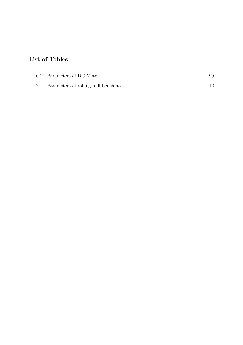### List of Tables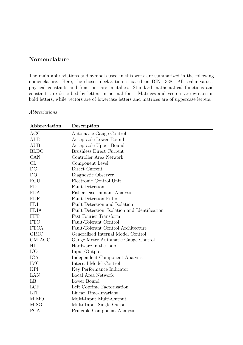### Nomenclature

The main abbreviations and symbols used in this work are summarized in the following nomenclature. Here, the chosen declaration is based on DIN 1338. All scalar values, physical constants and functions are in italics. Standard mathematical functions and constants are described by letters in normal font. Matrices and vectors are written in bold letters, while vectors are of lowercase letters and matrices are of uppercase letters.

| Abbreviation   | Description                                   |
|----------------|-----------------------------------------------|
| AGC            | Automatic Gauge Control                       |
| ALB            | Acceptable Lower Bound                        |
| AUB            | Acceptable Upper Bound                        |
| <b>BLDC</b>    | <b>Brushless Direct Current</b>               |
| CAN            | Controller Area Network                       |
| CL             | Component Level                               |
| DC             | Direct Current                                |
| D <sub>O</sub> | Diagnostic Observer                           |
| ECU            | Electronic Control Unit                       |
| FD             | <b>Fault Detection</b>                        |
| <b>FDA</b>     | Fisher Discriminant Analysis                  |
| <b>FDF</b>     | <b>Fault Detection Filter</b>                 |
| FDI            | Fault Detection and Isolation                 |
| <b>FDIA</b>    | Fault Detection, Isolation and Identification |
| FFT            | <b>Fast Fourier Transform</b>                 |
| <b>FTC</b>     | Fault-Tolerant Control                        |
| <b>FTCA</b>    | Fault-Tolerant Control Architecture           |
| <b>GIMC</b>    | Generalized Internal Model Control            |
| $GM-AGC$       | Gauge Meter Automatic Gauge Control           |
| HIL            | Hardware-in-the-loop                          |
| I/O            | Input/Output                                  |
| ICA            | Independent Component Analysis                |
| IMC            | Internal Model Control                        |
| KPI            | Key Performance Indicator                     |
| LAN            | Local Area Network                            |
| LB             | Lower Bound                                   |
| LCF            | Left Coprime Factorization                    |
| <b>LTI</b>     | Linear Time-Invariant                         |
| <b>MIMO</b>    | Multi-Input Multi-Output                      |
| <b>MISO</b>    | Multi-Input Single-Output                     |
| <b>PCA</b>     | Principle Component Analysis                  |

Abbreviations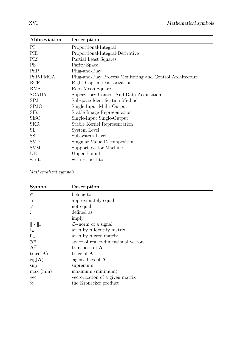L

| Abbreviation | Description                                               |
|--------------|-----------------------------------------------------------|
| PI           | Proportional-Integral                                     |
| PID          | Proportional-Integral-Derivative                          |
| <b>PLS</b>   | Partial Least Squares                                     |
| PS.          | Parity Space                                              |
| PnP          | Plug-and-Play                                             |
| PnP-PMCA     | Plug-and-Play Process Monitoring and Control Architecture |
| RCF          | Right Coprime Factorization                               |
| RMS          | Root Mean Square                                          |
| <b>SCADA</b> | Supervisory Control And Data Acquisition                  |
| SIM          | Subspace Identification Method                            |
| SIMO         | Single-Input Multi-Output                                 |
| SIR.         | Stable Image Representation                               |
| SISO         | Single-Input Single-Output                                |
| <b>SKR</b>   | Stable Kernel Representation                              |
| SL           | System Level                                              |
| SSL          | Subsystem Level                                           |
| <b>SVD</b>   | Singular Value Decomposition                              |
| <b>SVM</b>   | Support Vector Machine                                    |
| UB           | Upper Bound                                               |
| w.r.t.       | with respect to                                           |

Mathematical symbols

| Symbol              | Description                            |
|---------------------|----------------------------------------|
| $\in$               | belong to                              |
| $\approx$           | approximately equal                    |
| $\neq$              | not equal                              |
| $\;:=\;$            | defined as                             |
| $\Rightarrow$       | imply                                  |
| $\ \,\cdot\,\ _2$   | $\mathcal{L}_2$ -norm of a signal      |
| $I_n$               | an $n$ by $n$ identity matrix          |
| 0 <sub>n</sub>      | an $n \times n$ zero matrix            |
| $\mathcal{R}^n$     | space of real $n$ -dimensional vectors |
| $A^T$               | transpose of $A$                       |
| $trace(\mathbf{A})$ | trace of $A$                           |
| $eig(\mathbf{A})$   | eigenvalues of $A$                     |
| sup                 | supremum                               |
| max (min)           | maximum (minimum)                      |
| vec                 | vectorization of a given matrix        |
| ⊗                   | the Kronecker product                  |